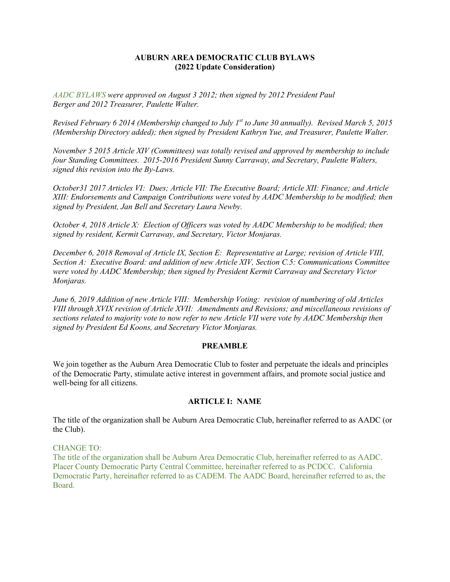### **AUBURN AREA DEMOCRATIC CLUB BYLAWS (2022 Update Consideration)**

*AADC BYLAWS were approved on August 3 2012; then signed by 2012 President Paul Berger and 2012 Treasurer, Paulette Walter.*

*Revised February 6 2014 (Membership changed to July 1st to June 30 annually). Revised March 5, 2015 (Membership Directory added); then signed by President Kathryn Yue, and Treasurer, Paulette Walter.*

*November 5 2015 Article XIV (Committees) was totally revised and approved by membership to include four Standing Committees. 2015-2016 President Sunny Carraway, and Secretary, Paulette Walters, signed this revision into the By-Laws.*

*October31 2017 Articles VI: Dues; Article VII: The Executive Board; Article XII: Finance; and Article XIII: Endorsements and Campaign Contributions were voted by AADC Membership to be modified; then signed by President, Jan Bell and Secretary Laura Newby.*

*October 4, 2018 Article X: Election of Officers was voted by AADC Membership to be modified; then signed by resident, Kermit Carraway, and Secretary, Victor Monjaras.*

*December 6, 2018 Removal of Article IX, Section E: Representative at Large; revision of Article VIII, Section A: Executive Board: and addition of new Article XIV, Section C.5: Communications Committee were voted by AADC Membership; then signed by President Kermit Carraway and Secretary Victor Monjaras.*

*June 6, 2019 Addition of new Article VIII: Membership Voting: revision of numbering of old Articles VIII through XVIX revision of Article XVII: Amendments and Revisions; and miscellaneous revisions of sections related to majority vote to now refer to new Article VII were vote by AADC Membership then signed by President Ed Koons, and Secretary Victor Monjaras.*

#### **PREAMBLE**

We join together as the Auburn Area Democratic Club to foster and perpetuate the ideals and principles of the Democratic Party, stimulate active interest in government affairs, and promote social justice and well-being for all citizens.

#### **ARTICLE I: NAME**

The title of the organization shall be Auburn Area Democratic Club, hereinafter referred to as AADC (or the Club).

#### CHANGE TO:

The title of the organization shall be Auburn Area Democratic Club, hereinafter referred to as AADC. Placer County Democratic Party Central Committee, hereinafter referred to as PCDCC. California Democratic Party, hereinafter referred to as CADEM. The AADC Board, hereinafter referred to as, the Board.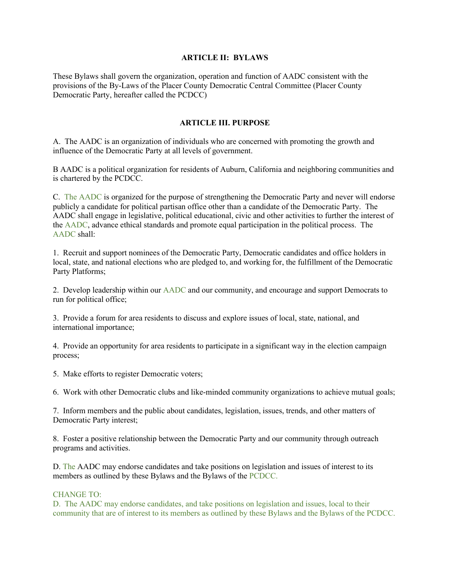### **ARTICLE II: BYLAWS**

These Bylaws shall govern the organization, operation and function of AADC consistent with the provisions of the By-Laws of the Placer County Democratic Central Committee (Placer County Democratic Party, hereafter called the PCDCC)

### **ARTICLE III. PURPOSE**

A. The AADC is an organization of individuals who are concerned with promoting the growth and influence of the Democratic Party at all levels of government.

B AADC is a political organization for residents of Auburn, California and neighboring communities and is chartered by the PCDCC.

C. The AADC is organized for the purpose of strengthening the Democratic Party and never will endorse publicly a candidate for political partisan office other than a candidate of the Democratic Party. The AADC shall engage in legislative, political educational, civic and other activities to further the interest of the AADC, advance ethical standards and promote equal participation in the political process. The AADC shall:

1. Recruit and support nominees of the Democratic Party, Democratic candidates and office holders in local, state, and national elections who are pledged to, and working for, the fulfillment of the Democratic Party Platforms;

2. Develop leadership within our AADC and our community, and encourage and support Democrats to run for political office;

3. Provide a forum for area residents to discuss and explore issues of local, state, national, and international importance;

4. Provide an opportunity for area residents to participate in a significant way in the election campaign process;

5. Make efforts to register Democratic voters;

6. Work with other Democratic clubs and like-minded community organizations to achieve mutual goals;

7. Inform members and the public about candidates, legislation, issues, trends, and other matters of Democratic Party interest;

8. Foster a positive relationship between the Democratic Party and our community through outreach programs and activities.

D. The AADC may endorse candidates and take positions on legislation and issues of interest to its members as outlined by these Bylaws and the Bylaws of the PCDCC.

#### CHANGE TO:

D. The AADC may endorse candidates, and take positions on legislation and issues, local to their community that are of interest to its members as outlined by these Bylaws and the Bylaws of the PCDCC.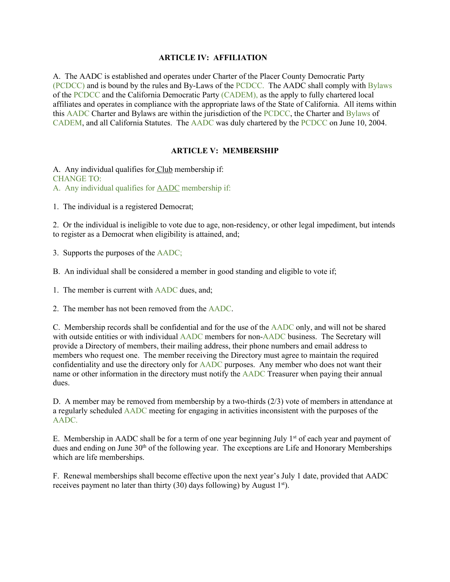### **ARTICLE IV: AFFILIATION**

A. The AADC is established and operates under Charter of the Placer County Democratic Party (PCDCC) and is bound by the rules and By-Laws of the PCDCC. The AADC shall comply with Bylaws of the PCDCC and the California Democratic Party (CADEM), as the apply to fully chartered local affiliates and operates in compliance with the appropriate laws of the State of California. All items within this AADC Charter and Bylaws are within the jurisdiction of the PCDCC, the Charter and Bylaws of CADEM, and all California Statutes. The AADC was duly chartered by the PCDCC on June 10, 2004.

## **ARTICLE V: MEMBERSHIP**

A. Any individual qualifies for Club membership if: CHANGE TO: A. Any individual qualifies for AADC membership if:

1. The individual is a registered Democrat;

2. Or the individual is ineligible to vote due to age, non-residency, or other legal impediment, but intends to register as a Democrat when eligibility is attained, and;

3. Supports the purposes of the AADC;

B. An individual shall be considered a member in good standing and eligible to vote if;

1. The member is current with AADC dues, and;

2. The member has not been removed from the AADC.

C. Membership records shall be confidential and for the use of the AADC only, and will not be shared with outside entities or with individual AADC members for non-AADC business. The Secretary will provide a Directory of members, their mailing address, their phone numbers and email address to members who request one. The member receiving the Directory must agree to maintain the required confidentiality and use the directory only for AADC purposes. Any member who does not want their name or other information in the directory must notify the AADC Treasurer when paying their annual dues.

D. A member may be removed from membership by a two-thirds (2/3) vote of members in attendance at a regularly scheduled AADC meeting for engaging in activities inconsistent with the purposes of the AADC.

E. Membership in AADC shall be for a term of one year beginning July  $1<sup>st</sup>$  of each year and payment of dues and ending on June 30<sup>th</sup> of the following year. The exceptions are Life and Honorary Memberships which are life memberships.

F. Renewal memberships shall become effective upon the next year's July 1 date, provided that AADC receives payment no later than thirty (30) days following) by August  $1<sup>st</sup>$ .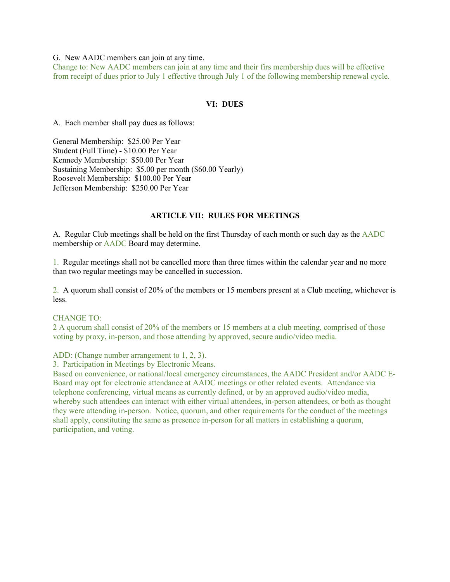#### G. New AADC members can join at any time.

Change to: New AADC members can join at any time and their firs membership dues will be effective from receipt of dues prior to July 1 effective through July 1 of the following membership renewal cycle.

#### **VI: DUES**

A. Each member shall pay dues as follows:

General Membership: \$25.00 Per Year Student (Full Time) - \$10.00 Per Year Kennedy Membership: \$50.00 Per Year Sustaining Membership: \$5.00 per month (\$60.00 Yearly) Roosevelt Membership: \$100.00 Per Year Jefferson Membership: \$250.00 Per Year

#### **ARTICLE VII: RULES FOR MEETINGS**

A. Regular Club meetings shall be held on the first Thursday of each month or such day as the AADC membership or AADC Board may determine.

1. Regular meetings shall not be cancelled more than three times within the calendar year and no more than two regular meetings may be cancelled in succession.

2. A quorum shall consist of 20% of the members or 15 members present at a Club meeting, whichever is less.

#### CHANGE TO:

2 A quorum shall consist of 20% of the members or 15 members at a club meeting, comprised of those voting by proxy, in-person, and those attending by approved, secure audio/video media.

ADD: (Change number arrangement to 1, 2, 3).

3. Participation in Meetings by Electronic Means.

Based on convenience, or national/local emergency circumstances, the AADC President and/or AADC E-Board may opt for electronic attendance at AADC meetings or other related events. Attendance via telephone conferencing, virtual means as currently defined, or by an approved audio/video media, whereby such attendees can interact with either virtual attendees, in-person attendees, or both as thought they were attending in-person. Notice, quorum, and other requirements for the conduct of the meetings shall apply, constituting the same as presence in-person for all matters in establishing a quorum, participation, and voting.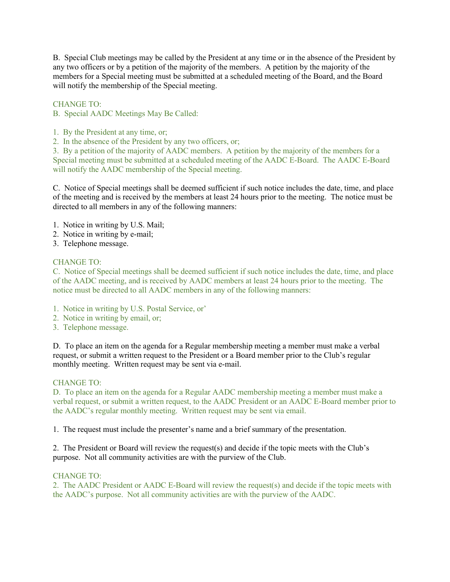B. Special Club meetings may be called by the President at any time or in the absence of the President by any two officers or by a petition of the majority of the members. A petition by the majority of the members for a Special meeting must be submitted at a scheduled meeting of the Board, and the Board will notify the membership of the Special meeting.

CHANGE TO:

B. Special AADC Meetings May Be Called:

- 1. By the President at any time, or;
- 2. In the absence of the President by any two officers, or;

3. By a petition of the majority of AADC members. A petition by the majority of the members for a Special meeting must be submitted at a scheduled meeting of the AADC E-Board. The AADC E-Board will notify the AADC membership of the Special meeting.

C. Notice of Special meetings shall be deemed sufficient if such notice includes the date, time, and place of the meeting and is received by the members at least 24 hours prior to the meeting. The notice must be directed to all members in any of the following manners:

- 1. Notice in writing by U.S. Mail;
- 2. Notice in writing by e-mail;
- 3. Telephone message.

### CHANGE TO:

C. Notice of Special meetings shall be deemed sufficient if such notice includes the date, time, and place of the AADC meeting, and is received by AADC members at least 24 hours prior to the meeting. The notice must be directed to all AADC members in any of the following manners:

- 1. Notice in writing by U.S. Postal Service, or'
- 2. Notice in writing by email, or;
- 3. Telephone message.

D. To place an item on the agenda for a Regular membership meeting a member must make a verbal request, or submit a written request to the President or a Board member prior to the Club's regular monthly meeting. Written request may be sent via e-mail.

#### CHANGE TO:

D. To place an item on the agenda for a Regular AADC membership meeting a member must make a verbal request, or submit a written request, to the AADC President or an AADC E-Board member prior to the AADC's regular monthly meeting. Written request may be sent via email.

1. The request must include the presenter's name and a brief summary of the presentation.

2. The President or Board will review the request(s) and decide if the topic meets with the Club's purpose. Not all community activities are with the purview of the Club.

#### CHANGE TO:

2. The AADC President or AADC E-Board will review the request(s) and decide if the topic meets with the AADC's purpose. Not all community activities are with the purview of the AADC.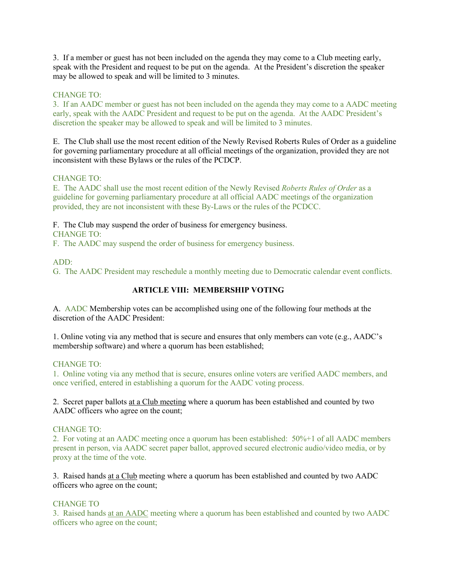3. If a member or guest has not been included on the agenda they may come to a Club meeting early, speak with the President and request to be put on the agenda. At the President's discretion the speaker may be allowed to speak and will be limited to 3 minutes.

## CHANGE TO:

3. If an AADC member or guest has not been included on the agenda they may come to a AADC meeting early, speak with the AADC President and request to be put on the agenda. At the AADC President's discretion the speaker may be allowed to speak and will be limited to 3 minutes.

E. The Club shall use the most recent edition of the Newly Revised Roberts Rules of Order as a guideline for governing parliamentary procedure at all official meetings of the organization, provided they are not inconsistent with these Bylaws or the rules of the PCDCP.

## CHANGE TO:

E. The AADC shall use the most recent edition of the Newly Revised *Roberts Rules of Order* as a guideline for governing parliamentary procedure at all official AADC meetings of the organization provided, they are not inconsistent with these By-Laws or the rules of the PCDCC.

F. The Club may suspend the order of business for emergency business. CHANGE TO:

F. The AADC may suspend the order of business for emergency business.

# ADD:

G. The AADC President may reschedule a monthly meeting due to Democratic calendar event conflicts.

# **ARTICLE VIII: MEMBERSHIP VOTING**

A. AADC Membership votes can be accomplished using one of the following four methods at the discretion of the AADC President:

1. Online voting via any method that is secure and ensures that only members can vote (e.g., AADC's membership software) and where a quorum has been established;

## CHANGE TO:

1. Online voting via any method that is secure, ensures online voters are verified AADC members, and once verified, entered in establishing a quorum for the AADC voting process.

2. Secret paper ballots at a Club meeting where a quorum has been established and counted by two AADC officers who agree on the count;

## CHANGE TO:

2. For voting at an AADC meeting once a quorum has been established: 50%+1 of all AADC members present in person, via AADC secret paper ballot, approved secured electronic audio/video media, or by proxy at the time of the vote.

3. Raised hands at a Club meeting where a quorum has been established and counted by two AADC officers who agree on the count;

## CHANGE TO

3. Raised hands at an AADC meeting where a quorum has been established and counted by two AADC officers who agree on the count;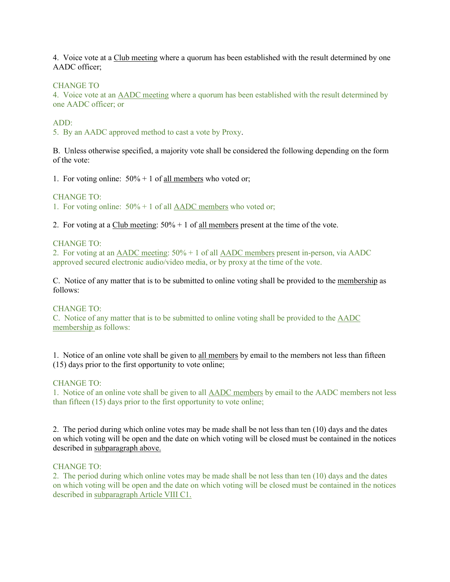4. Voice vote at a Club meeting where a quorum has been established with the result determined by one AADC officer;

#### CHANGE TO

4. Voice vote at an AADC meeting where a quorum has been established with the result determined by one AADC officer; or

#### ADD:

5. By an AADC approved method to cast a vote by Proxy.

B. Unless otherwise specified, a majority vote shall be considered the following depending on the form of the vote:

1. For voting online:  $50\% + 1$  of all members who voted or;

#### CHANGE TO:

1. For voting online: 50% + 1 of all AADC members who voted or;

2. For voting at a Club meeting:  $50\% + 1$  of all members present at the time of the vote.

## CHANGE TO:

2. For voting at an AADC meeting: 50% + 1 of all AADC members present in-person, via AADC approved secured electronic audio/video media, or by proxy at the time of the vote.

C. Notice of any matter that is to be submitted to online voting shall be provided to the membership as follows:

#### CHANGE TO:

C. Notice of any matter that is to be submitted to online voting shall be provided to the AADC membership as follows:

1. Notice of an online vote shall be given to all members by email to the members not less than fifteen (15) days prior to the first opportunity to vote online;

#### CHANGE TO:

1. Notice of an online vote shall be given to all AADC members by email to the AADC members not less than fifteen (15) days prior to the first opportunity to vote online;

2. The period during which online votes may be made shall be not less than ten (10) days and the dates on which voting will be open and the date on which voting will be closed must be contained in the notices described in subparagraph above.

### CHANGE TO:

2. The period during which online votes may be made shall be not less than ten (10) days and the dates on which voting will be open and the date on which voting will be closed must be contained in the notices described in subparagraph Article VIII C1.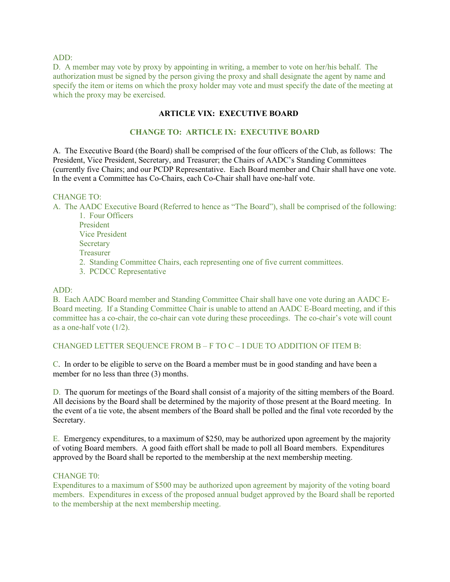#### ADD:

D. A member may vote by proxy by appointing in writing, a member to vote on her/his behalf. The authorization must be signed by the person giving the proxy and shall designate the agent by name and specify the item or items on which the proxy holder may vote and must specify the date of the meeting at which the proxy may be exercised.

# **ARTICLE VIX: EXECUTIVE BOARD**

# **CHANGE TO: ARTICLE IX: EXECUTIVE BOARD**

A. The Executive Board (the Board) shall be comprised of the four officers of the Club, as follows: The President, Vice President, Secretary, and Treasurer; the Chairs of AADC's Standing Committees (currently five Chairs; and our PCDP Representative. Each Board member and Chair shall have one vote. In the event a Committee has Co-Chairs, each Co-Chair shall have one-half vote.

#### CHANGE TO:

A. The AADC Executive Board (Referred to hence as "The Board"), shall be comprised of the following: 1. Four Officers

President Vice President **Secretary** Treasurer 2. Standing Committee Chairs, each representing one of five current committees.

3. PCDCC Representative

#### ADD:

B. Each AADC Board member and Standing Committee Chair shall have one vote during an AADC E-Board meeting. If a Standing Committee Chair is unable to attend an AADC E-Board meeting, and if this committee has a co-chair, the co-chair can vote during these proceedings. The co-chair's vote will count as a one-half vote (1/2).

## CHANGED LETTER SEQUENCE FROM B – F TO C – I DUE TO ADDITION OF ITEM B:

C. In order to be eligible to serve on the Board a member must be in good standing and have been a member for no less than three (3) months.

D. The quorum for meetings of the Board shall consist of a majority of the sitting members of the Board. All decisions by the Board shall be determined by the majority of those present at the Board meeting. In the event of a tie vote, the absent members of the Board shall be polled and the final vote recorded by the Secretary.

E. Emergency expenditures, to a maximum of \$250, may be authorized upon agreement by the majority of voting Board members. A good faith effort shall be made to poll all Board members. Expenditures approved by the Board shall be reported to the membership at the next membership meeting.

#### CHANGE T0:

Expenditures to a maximum of \$500 may be authorized upon agreement by majority of the voting board members. Expenditures in excess of the proposed annual budget approved by the Board shall be reported to the membership at the next membership meeting.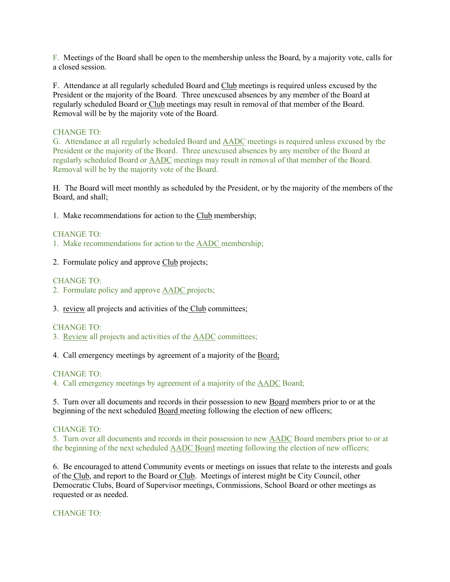F. Meetings of the Board shall be open to the membership unless the Board, by a majority vote, calls for a closed session.

F. Attendance at all regularly scheduled Board and Club meetings is required unless excused by the President or the majority of the Board. Three unexcused absences by any member of the Board at regularly scheduled Board or Club meetings may result in removal of that member of the Board. Removal will be by the majority vote of the Board.

## CHANGE TO:

G. Attendance at all regularly scheduled Board and AADC meetings is required unless excused by the President or the majority of the Board. Three unexcused absences by any member of the Board at regularly scheduled Board or AADC meetings may result in removal of that member of the Board. Removal will be by the majority vote of the Board.

H. The Board will meet monthly as scheduled by the President, or by the majority of the members of the Board, and shall;

1. Make recommendations for action to the Club membership;

## CHANGE TO:

- 1. Make recommendations for action to the AADC membership;
- 2. Formulate policy and approve Club projects;

### CHANGE TO:

2. Formulate policy and approve AADC projects;

3. review all projects and activities of the Club committees;

#### CHANGE TO:

- 3. Review all projects and activities of the AADC committees;
- 4. Call emergency meetings by agreement of a majority of the Board;

#### CHANGE TO:

4. Call emergency meetings by agreement of a majority of the AADC Board;

5. Turn over all documents and records in their possession to new Board members prior to or at the beginning of the next scheduled Board meeting following the election of new officers;

#### CHANGE TO:

5. Turn over all documents and records in their possession to new AADC Board members prior to or at the beginning of the next scheduled AADC Board meeting following the election of new officers;

6. Be encouraged to attend Community events or meetings on issues that relate to the interests and goals of the Club, and report to the Board or Club. Meetings of interest might be City Council, other Democratic Clubs, Board of Supervisor meetings, Commissions, School Board or other meetings as requested or as needed.

CHANGE TO: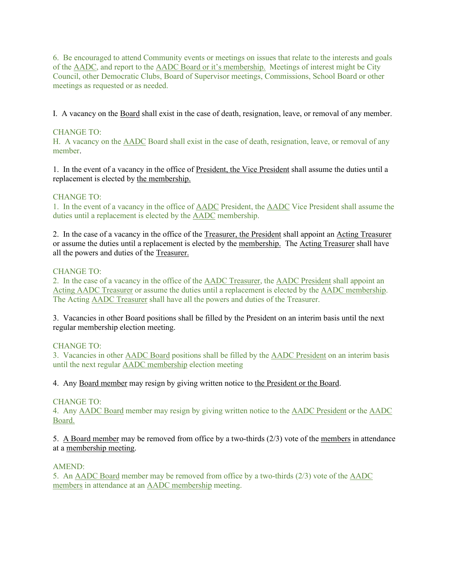6. Be encouraged to attend Community events or meetings on issues that relate to the interests and goals of the AADC, and report to the AADC Board or it's membership. Meetings of interest might be City Council, other Democratic Clubs, Board of Supervisor meetings, Commissions, School Board or other meetings as requested or as needed.

I. A vacancy on the Board shall exist in the case of death, resignation, leave, or removal of any member.

# CHANGE TO:

H. A vacancy on the AADC Board shall exist in the case of death, resignation, leave, or removal of any member.

1. In the event of a vacancy in the office of President, the Vice President shall assume the duties until a replacement is elected by the membership.

## CHANGE TO:

1. In the event of a vacancy in the office of AADC President, the AADC Vice President shall assume the duties until a replacement is elected by the AADC membership.

2. In the case of a vacancy in the office of the Treasurer, the President shall appoint an Acting Treasurer or assume the duties until a replacement is elected by the membership. The Acting Treasurer shall have all the powers and duties of the Treasurer.

## CHANGE TO:

2. In the case of a vacancy in the office of the AADC Treasurer, the AADC President shall appoint an Acting AADC Treasurer or assume the duties until a replacement is elected by the AADC membership. The Acting AADC Treasurer shall have all the powers and duties of the Treasurer.

3. Vacancies in other Board positions shall be filled by the President on an interim basis until the next regular membership election meeting.

## CHANGE TO:

3. Vacancies in other AADC Board positions shall be filled by the AADC President on an interim basis until the next regular AADC membership election meeting

4. Any Board member may resign by giving written notice to the President or the Board.

## CHANGE TO:

4. Any AADC Board member may resign by giving written notice to the AADC President or the AADC Board.

5. A Board member may be removed from office by a two-thirds (2/3) vote of the members in attendance at a membership meeting.

#### AMEND:

5. An AADC Board member may be removed from office by a two-thirds (2/3) vote of the AADC members in attendance at an AADC membership meeting.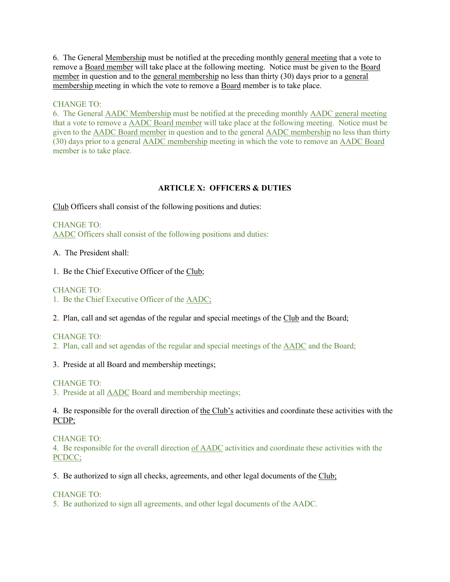6. The General Membership must be notified at the preceding monthly general meeting that a vote to remove a Board member will take place at the following meeting. Notice must be given to the Board member in question and to the general membership no less than thirty (30) days prior to a general membership meeting in which the vote to remove a Board member is to take place.

## CHANGE TO:

6. The General AADC Membership must be notified at the preceding monthly AADC general meeting that a vote to remove a AADC Board member will take place at the following meeting. Notice must be given to the AADC Board member in question and to the general AADC membership no less than thirty (30) days prior to a general AADC membership meeting in which the vote to remove an AADC Board member is to take place.

# **ARTICLE X: OFFICERS & DUTIES**

Club Officers shall consist of the following positions and duties:

CHANGE TO: AADC Officers shall consist of the following positions and duties:

A. The President shall:

1. Be the Chief Executive Officer of the Club;

CHANGE TO:

1. Be the Chief Executive Officer of the AADC;

2. Plan, call and set agendas of the regular and special meetings of the Club and the Board;

CHANGE TO:

2. Plan, call and set agendas of the regular and special meetings of the AADC and the Board;

3. Preside at all Board and membership meetings;

#### CHANGE TO:

3. Preside at all AADC Board and membership meetings;

4. Be responsible for the overall direction of the Club's activities and coordinate these activities with the PCDP;

CHANGE TO:

4. Be responsible for the overall direction of AADC activities and coordinate these activities with the PCDCC;

5. Be authorized to sign all checks, agreements, and other legal documents of the Club;

CHANGE TO:

5. Be authorized to sign all agreements, and other legal documents of the AADC.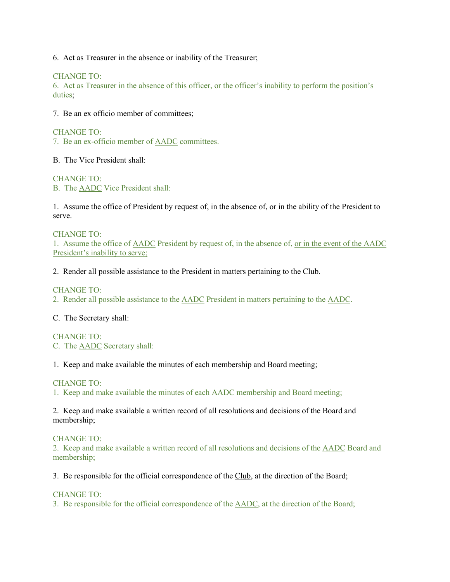6. Act as Treasurer in the absence or inability of the Treasurer;

CHANGE TO:

6. Act as Treasurer in the absence of this officer, or the officer's inability to perform the position's duties;

7. Be an ex officio member of committees;

CHANGE TO:

7. Be an ex-officio member of AADC committees.

B. The Vice President shall:

CHANGE TO: B. The AADC Vice President shall:

1. Assume the office of President by request of, in the absence of, or in the ability of the President to serve.

CHANGE TO: 1. Assume the office of AADC President by request of, in the absence of, or in the event of the AADC President's inability to serve;

2. Render all possible assistance to the President in matters pertaining to the Club.

CHANGE TO:

2. Render all possible assistance to the AADC President in matters pertaining to the AADC.

C. The Secretary shall:

CHANGE TO: C. The AADC Secretary shall:

1. Keep and make available the minutes of each membership and Board meeting;

CHANGE TO:

1. Keep and make available the minutes of each AADC membership and Board meeting;

2. Keep and make available a written record of all resolutions and decisions of the Board and membership;

CHANGE TO:

2. Keep and make available a written record of all resolutions and decisions of the AADC Board and membership;

3. Be responsible for the official correspondence of the Club, at the direction of the Board;

CHANGE TO:

3. Be responsible for the official correspondence of the AADC, at the direction of the Board;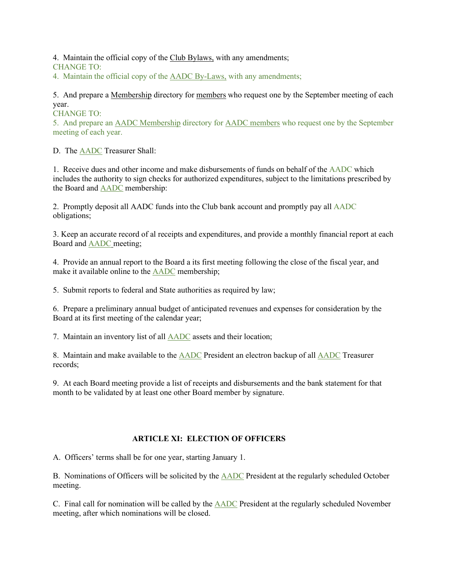4. Maintain the official copy of the Club Bylaws, with any amendments; CHANGE TO:

4. Maintain the official copy of the AADC By-Laws, with any amendments;

5. And prepare a Membership directory for members who request one by the September meeting of each year.

CHANGE TO:

5. And prepare an AADC Membership directory for AADC members who request one by the September meeting of each year.

D. The AADC Treasurer Shall:

1. Receive dues and other income and make disbursements of funds on behalf of the AADC which includes the authority to sign checks for authorized expenditures, subject to the limitations prescribed by the Board and AADC membership:

2. Promptly deposit all AADC funds into the Club bank account and promptly pay all AADC obligations;

3. Keep an accurate record of al receipts and expenditures, and provide a monthly financial report at each Board and AADC meeting;

4. Provide an annual report to the Board a its first meeting following the close of the fiscal year, and make it available online to the AADC membership;

5. Submit reports to federal and State authorities as required by law;

6. Prepare a preliminary annual budget of anticipated revenues and expenses for consideration by the Board at its first meeting of the calendar year;

7. Maintain an inventory list of all AADC assets and their location;

8. Maintain and make available to the AADC President an electron backup of all AADC Treasurer records;

9. At each Board meeting provide a list of receipts and disbursements and the bank statement for that month to be validated by at least one other Board member by signature.

# **ARTICLE XI: ELECTION OF OFFICERS**

A. Officers' terms shall be for one year, starting January 1.

B. Nominations of Officers will be solicited by the AADC President at the regularly scheduled October meeting.

C. Final call for nomination will be called by the AADC President at the regularly scheduled November meeting, after which nominations will be closed.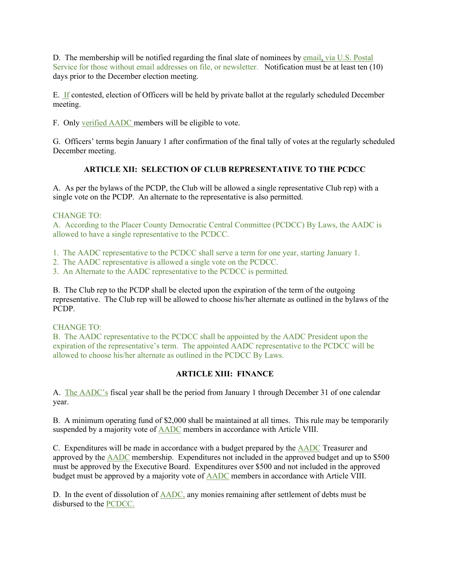D. The membership will be notified regarding the final slate of nominees by email, via U.S. Postal Service for those without email addresses on file, or newsletter. Notification must be at least ten (10) days prior to the December election meeting.

E. If contested, election of Officers will be held by private ballot at the regularly scheduled December meeting.

F. Only verified AADC members will be eligible to vote.

G. Officers' terms begin January 1 after confirmation of the final tally of votes at the regularly scheduled December meeting.

# **ARTICLE XII: SELECTION OF CLUB REPRESENTATIVE TO THE PCDCC**

A. As per the bylaws of the PCDP, the Club will be allowed a single representative Club rep) with a single vote on the PCDP. An alternate to the representative is also permitted.

# CHANGE TO:

A. According to the Placer County Democratic Central Committee (PCDCC) By Laws, the AADC is allowed to have a single representative to the PCDCC.

1. The AADC representative to the PCDCC shall serve a term for one year, starting January 1.

2. The AADC representative is allowed a single vote on the PCDCC.

3. An Alternate to the AADC representative to the PCDCC is permitted.

B. The Club rep to the PCDP shall be elected upon the expiration of the term of the outgoing representative. The Club rep will be allowed to choose his/her alternate as outlined in the bylaws of the PCDP.

## CHANGE TO:

B. The AADC representative to the PCDCC shall be appointed by the AADC President upon the expiration of the representative's term. The appointed AADC representative to the PCDCC will be allowed to choose his/her alternate as outlined in the PCDCC By Laws.

# **ARTICLE XIII: FINANCE**

A. The AADC's fiscal year shall be the period from January 1 through December 31 of one calendar year.

B. A minimum operating fund of \$2,000 shall be maintained at all times. This rule may be temporarily suspended by a majority vote of AADC members in accordance with Article VIII.

C. Expenditures will be made in accordance with a budget prepared by the AADC Treasurer and approved by the AADC membership. Expenditures not included in the approved budget and up to \$500 must be approved by the Executive Board. Expenditures over \$500 and not included in the approved budget must be approved by a majority vote of AADC members in accordance with Article VIII.

D. In the event of dissolution of AADC, any monies remaining after settlement of debts must be disbursed to the PCDCC.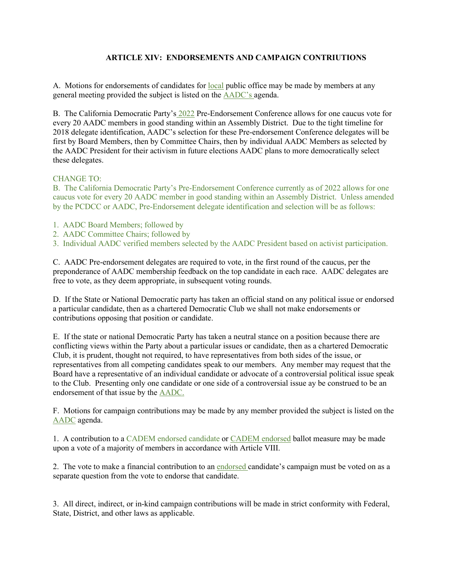# **ARTICLE XIV: ENDORSEMENTS AND CAMPAIGN CONTRIUTIONS**

A. Motions for endorsements of candidates for local public office may be made by members at any general meeting provided the subject is listed on the AADC's agenda.

B. The California Democratic Party's 2022 Pre-Endorsement Conference allows for one caucus vote for every 20 AADC members in good standing within an Assembly District. Due to the tight timeline for 2018 delegate identification, AADC's selection for these Pre-endorsement Conference delegates will be first by Board Members, then by Committee Chairs, then by individual AADC Members as selected by the AADC President for their activism in future elections AADC plans to more democratically select these delegates.

## CHANGE TO:

B. The California Democratic Party's Pre-Endorsement Conference currently as of 2022 allows for one caucus vote for every 20 AADC member in good standing within an Assembly District. Unless amended by the PCDCC or AADC, Pre-Endorsement delegate identification and selection will be as follows:

- 1. AADC Board Members; followed by
- 2. AADC Committee Chairs; followed by
- 3. Individual AADC verified members selected by the AADC President based on activist participation.

C. AADC Pre-endorsement delegates are required to vote, in the first round of the caucus, per the preponderance of AADC membership feedback on the top candidate in each race. AADC delegates are free to vote, as they deem appropriate, in subsequent voting rounds.

D. If the State or National Democratic party has taken an official stand on any political issue or endorsed a particular candidate, then as a chartered Democratic Club we shall not make endorsements or contributions opposing that position or candidate.

E. If the state or national Democratic Party has taken a neutral stance on a position because there are conflicting views within the Party about a particular issues or candidate, then as a chartered Democratic Club, it is prudent, thought not required, to have representatives from both sides of the issue, or representatives from all competing candidates speak to our members. Any member may request that the Board have a representative of an individual candidate or advocate of a controversial political issue speak to the Club. Presenting only one candidate or one side of a controversial issue ay be construed to be an endorsement of that issue by the AADC.

F. Motions for campaign contributions may be made by any member provided the subject is listed on the AADC agenda.

1. A contribution to a CADEM endorsed candidate or CADEM endorsed ballot measure may be made upon a vote of a majority of members in accordance with Article VIII.

2. The vote to make a financial contribution to an endorsed candidate's campaign must be voted on as a separate question from the vote to endorse that candidate.

3. All direct, indirect, or in-kind campaign contributions will be made in strict conformity with Federal, State, District, and other laws as applicable.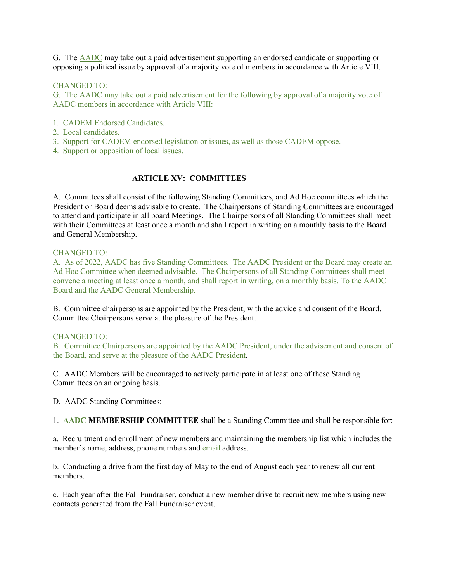G. The AADC may take out a paid advertisement supporting an endorsed candidate or supporting or opposing a political issue by approval of a majority vote of members in accordance with Article VIII.

### CHANGED TO:

G. The AADC may take out a paid advertisement for the following by approval of a majority vote of AADC members in accordance with Article VIII:

- 1. CADEM Endorsed Candidates.
- 2. Local candidates.
- 3. Support for CADEM endorsed legislation or issues, as well as those CADEM oppose.
- 4. Support or opposition of local issues.

## **ARTICLE XV: COMMITTEES**

A. Committees shall consist of the following Standing Committees, and Ad Hoc committees which the President or Board deems advisable to create. The Chairpersons of Standing Committees are encouraged to attend and participate in all board Meetings. The Chairpersons of all Standing Committees shall meet with their Committees at least once a month and shall report in writing on a monthly basis to the Board and General Membership.

### CHANGED TO:

A. As of 2022, AADC has five Standing Committees. The AADC President or the Board may create an Ad Hoc Committee when deemed advisable. The Chairpersons of all Standing Committees shall meet convene a meeting at least once a month, and shall report in writing, on a monthly basis. To the AADC Board and the AADC General Membership.

B. Committee chairpersons are appointed by the President, with the advice and consent of the Board. Committee Chairpersons serve at the pleasure of the President.

#### CHANGED TO:

B. Committee Chairpersons are appointed by the AADC President, under the advisement and consent of the Board, and serve at the pleasure of the AADC President.

C. AADC Members will be encouraged to actively participate in at least one of these Standing Committees on an ongoing basis.

D. AADC Standing Committees:

1. **AADC MEMBERSHIP COMMITTEE** shall be a Standing Committee and shall be responsible for:

a. Recruitment and enrollment of new members and maintaining the membership list which includes the member's name, address, phone numbers and email address.

b. Conducting a drive from the first day of May to the end of August each year to renew all current members.

c. Each year after the Fall Fundraiser, conduct a new member drive to recruit new members using new contacts generated from the Fall Fundraiser event.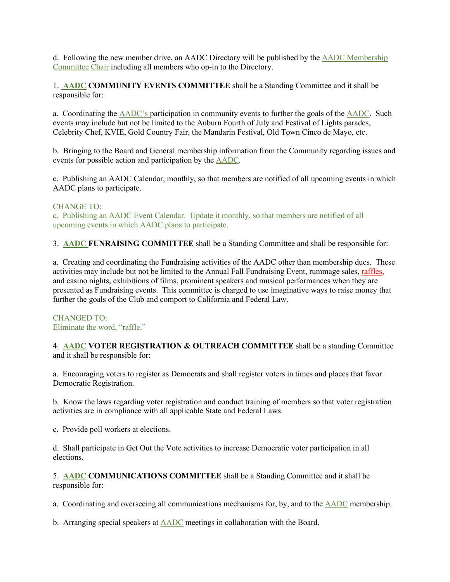d. Following the new member drive, an AADC Directory will be published by the AADC Membership Committee Chair including all members who op-in to the Directory.

1. **AADC COMMUNITY EVENTS COMMITTEE** shall be a Standing Committee and it shall be responsible for:

a. Coordinating the AADC's participation in community events to further the goals of the AADC. Such events may include but not be limited to the Auburn Fourth of July and Festival of Lights parades, Celebrity Chef, KVIE, Gold Country Fair, the Mandarin Festival, Old Town Cinco de Mayo, etc.

b. Bringing to the Board and General membership information from the Community regarding issues and events for possible action and participation by the AADC.

c. Publishing an AADC Calendar, monthly, so that members are notified of all upcoming events in which AADC plans to participate.

### CHANGE TO:

c. Publishing an AADC Event Calendar. Update it monthly, so that members are notified of all upcoming events in which AADC plans to participate.

3. **AADC FUNRAISING COMMITTEE** shall be a Standing Committee and shall be responsible for:

a. Creating and coordinating the Fundraising activities of the AADC other than membership dues. These activities may include but not be limited to the Annual Fall Fundraising Event, rummage sales, raffles, and casino nights, exhibitions of films, prominent speakers and musical performances when they are presented as Fundraising events. This committee is charged to use imaginative ways to raise money that further the goals of the Club and comport to California and Federal Law.

## CHANGED TO: Eliminate the word, "raffle."

4. **AADC VOTER REGISTRATION & OUTREACH COMMITTEE** shall be a standing Committee and it shall be responsible for:

a. Encouraging voters to register as Democrats and shall register voters in times and places that favor Democratic Registration.

b. Know the laws regarding voter registration and conduct training of members so that voter registration activities are in compliance with all applicable State and Federal Laws.

c. Provide poll workers at elections.

d. Shall participate in Get Out the Vote activities to increase Democratic voter participation in all elections.

5. **AADC COMMUNICATIONS COMMITTEE** shall be a Standing Committee and it shall be responsible for:

a. Coordinating and overseeing all communications mechanisms for, by, and to the AADC membership.

b. Arranging special speakers at AADC meetings in collaboration with the Board.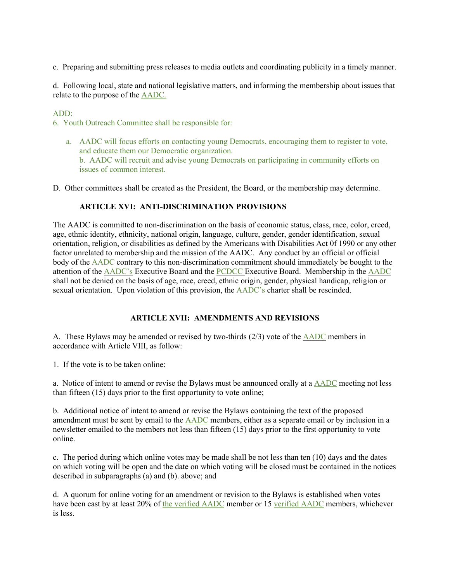c. Preparing and submitting press releases to media outlets and coordinating publicity in a timely manner.

d. Following local, state and national legislative matters, and informing the membership about issues that relate to the purpose of the AADC.

## ADD:

6. Youth Outreach Committee shall be responsible for:

a. AADC will focus efforts on contacting young Democrats, encouraging them to register to vote, and educate them our Democratic organization. b. AADC will recruit and advise young Democrats on participating in community efforts on issues of common interest.

D. Other committees shall be created as the President, the Board, or the membership may determine.

## **ARTICLE XVI: ANTI-DISCRIMINATION PROVISIONS**

The AADC is committed to non-discrimination on the basis of economic status, class, race, color, creed, age, ethnic identity, ethnicity, national origin, language, culture, gender, gender identification, sexual orientation, religion, or disabilities as defined by the Americans with Disabilities Act 0f 1990 or any other factor unrelated to membership and the mission of the AADC. Any conduct by an official or official body of the AADC contrary to this non-discrimination commitment should immediately be bought to the attention of the AADC's Executive Board and the PCDCC Executive Board. Membership in the AADC shall not be denied on the basis of age, race, creed, ethnic origin, gender, physical handicap, religion or sexual orientation. Upon violation of this provision, the **AADC**'s charter shall be rescinded.

## **ARTICLE XVII: AMENDMENTS AND REVISIONS**

A. These Bylaws may be amended or revised by two-thirds (2/3) vote of the AADC members in accordance with Article VIII, as follow:

1. If the vote is to be taken online:

a. Notice of intent to amend or revise the Bylaws must be announced orally at a AADC meeting not less than fifteen (15) days prior to the first opportunity to vote online;

b. Additional notice of intent to amend or revise the Bylaws containing the text of the proposed amendment must be sent by email to the AADC members, either as a separate email or by inclusion in a newsletter emailed to the members not less than fifteen (15) days prior to the first opportunity to vote online.

c. The period during which online votes may be made shall be not less than ten (10) days and the dates on which voting will be open and the date on which voting will be closed must be contained in the notices described in subparagraphs (a) and (b). above; and

d. A quorum for online voting for an amendment or revision to the Bylaws is established when votes have been cast by at least 20% of the verified AADC member or 15 verified AADC members, whichever is less.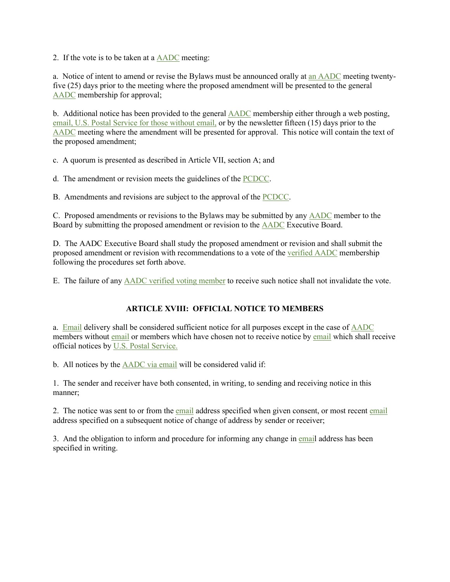2. If the vote is to be taken at a AADC meeting:

a. Notice of intent to amend or revise the Bylaws must be announced orally at an AADC meeting twentyfive (25) days prior to the meeting where the proposed amendment will be presented to the general AADC membership for approval;

b. Additional notice has been provided to the general AADC membership either through a web posting, email, U.S. Postal Service for those without email, or by the newsletter fifteen (15) days prior to the AADC meeting where the amendment will be presented for approval. This notice will contain the text of the proposed amendment;

c. A quorum is presented as described in Article VII, section A; and

d. The amendment or revision meets the guidelines of the PCDCC.

B. Amendments and revisions are subject to the approval of the PCDCC.

C. Proposed amendments or revisions to the Bylaws may be submitted by any AADC member to the Board by submitting the proposed amendment or revision to the AADC Executive Board.

D. The AADC Executive Board shall study the proposed amendment or revision and shall submit the proposed amendment or revision with recommendations to a vote of the verified AADC membership following the procedures set forth above.

E. The failure of any AADC verified voting member to receive such notice shall not invalidate the vote.

## **ARTICLE XVIII: OFFICIAL NOTICE TO MEMBERS**

a. Email delivery shall be considered sufficient notice for all purposes except in the case of **AADC** members without email or members which have chosen not to receive notice by email which shall receive official notices by U.S. Postal Service.

b. All notices by the AADC via email will be considered valid if:

1. The sender and receiver have both consented, in writing, to sending and receiving notice in this manner;

2. The notice was sent to or from the email address specified when given consent, or most recent email address specified on a subsequent notice of change of address by sender or receiver;

3. And the obligation to inform and procedure for informing any change in email address has been specified in writing.